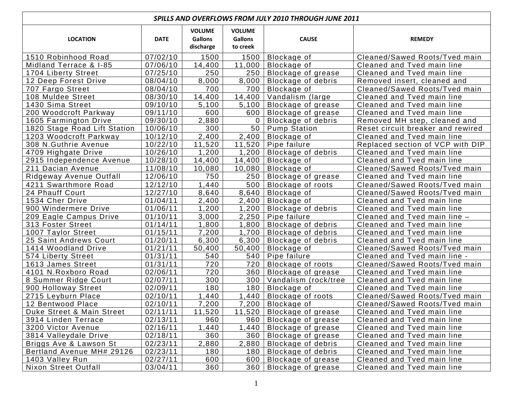| SPILLS AND OVERFLOWS FROM JULY 2010 THROUGH JUNE 2011 |             |                                              |                                             |                           |                                   |  |  |  |  |
|-------------------------------------------------------|-------------|----------------------------------------------|---------------------------------------------|---------------------------|-----------------------------------|--|--|--|--|
| <b>LOCATION</b>                                       | <b>DATE</b> | <b>VOLUME</b><br><b>Gallons</b><br>discharge | <b>VOLUME</b><br><b>Gallons</b><br>to creek | <b>CAUSE</b>              | <b>REMEDY</b>                     |  |  |  |  |
| 1510 Robinhood Road                                   | 07/02/10    | 1500                                         | 1500                                        | Blockage of               | Cleaned/Sawed Roots/Tved main     |  |  |  |  |
| Midland Terrace & I-85                                | 07/06/10    | 14,400                                       | 11,000                                      | Blockage of               | Cleaned and Tved main line        |  |  |  |  |
| 1704 Liberty Street                                   | 07/25/10    | 250                                          | 250                                         | Blockage of grease        | Cleaned and Tved main line        |  |  |  |  |
| 12 Deep Forest Drive                                  | 08/04/10    | 8,000                                        | 8,000                                       | Blockage of debris        | Removed insert, cleaned and       |  |  |  |  |
| 707 Fargo Street                                      | 08/04/10    | 700                                          | 700                                         | Blockage of               | Cleaned/Sawed Roots/Tved main     |  |  |  |  |
| 108 Muldee Street                                     | 08/30/10    | 14,400                                       | 14,400                                      | Vandalism (large          | Cleaned and Tved main line        |  |  |  |  |
| 1430 Sima Street                                      | 09/10/10    | 5,100                                        | 5,100                                       | Blockage of grease        | Cleaned and Tved main line        |  |  |  |  |
| 200 Woodcroft Parkway                                 | 09/11/10    | 600                                          | 600                                         | Blockage of grease        | Cleaned and Tved main line        |  |  |  |  |
| 1605 Farmington Drive                                 | 09/30/10    | 2,880                                        | 0                                           | Blockage of debris        | Removed MH step, cleaned and      |  |  |  |  |
| 1820 Stage Road Lift Station                          | 10/06/10    | 300                                          | 50                                          | <b>Pump Station</b>       | Reset circuit breaker and rewired |  |  |  |  |
| 1203 Woodcroft Parkway                                | 10/12/10    | 2,400                                        | 2,400                                       | Blockage of               | Cleaned and Tved main line        |  |  |  |  |
| 308 N.Guthrie Avenue                                  | 10/22/10    | 11,520                                       | 11,520                                      | Pipe failure              | Replaced section of VCP with DIP  |  |  |  |  |
| 4709 Highgate Drive                                   | 10/26/10    | ,200                                         | 1,200                                       | <b>Blockage of debris</b> | Cleaned and Tved main line        |  |  |  |  |
| 2915 Independence Avenue                              | 10/28/10    | 14,400                                       | 14,400                                      | Blockage of               | Cleaned and Tved main line        |  |  |  |  |
| 211 Dacian Avenue                                     | 11/08/10    | 10,080                                       | 10,080                                      | Blockage of               | Cleaned/Sawed Roots/Tved main     |  |  |  |  |
| Ridgeway Avenue Outfall                               | 12/06/10    | 750                                          | 250                                         | Blockage of grease        | Cleaned and Tved main line        |  |  |  |  |
| 4211 Swarthmore Road                                  | 12/12/10    | 1,440                                        | 500                                         | Blockage of roots         | Cleaned/Sawed Roots/Tved main     |  |  |  |  |
| 24 Phauff Court                                       | 12/27/10    | 8,640                                        | 8,640                                       | Blockage of               | Cleaned/Sawed Roots/Tved main     |  |  |  |  |
| 1534 Cher Drive                                       | 01/04/11    | 2,400                                        | 2,400                                       | Blockage of               | Cleaned and Tved main line        |  |  |  |  |
| 900 Windermere Drive                                  | 01/06/11    | 1,200                                        | 1,200                                       | Blockage of debris        | Cleaned and Tved main line        |  |  |  |  |
| 209 Eagle Campus Drive                                | 01/10/11    | 3,000                                        | 2,250                                       | Pipe failure              | Cleaned and Tved main line -      |  |  |  |  |
| 313 Foster Street                                     | 01/14/11    | 1,800                                        | 1,800                                       | <b>Blockage of debris</b> | Cleaned and Tved main line        |  |  |  |  |
| 1007 Taylor Street                                    | 01/15/11    | 7,200                                        | 1,700                                       | Blockage of debris        | Cleaned and Tved main line        |  |  |  |  |
| 25 Saint Andrews Court                                | 01/20/11    | 6,300                                        | 6,300                                       | Blockage of debris        | Cleaned and Tved main line        |  |  |  |  |
| 1414 Woodland Drive                                   | 01/21/11    | 50,400                                       | 50,400                                      | Blockage of               | Cleaned/Sawed Roots/Tved main     |  |  |  |  |
| 574 Liberty Street                                    | 01/31/11    | 540                                          | 540                                         | Pipe failure              | Cleaned and Tved main line -      |  |  |  |  |
| 1613 James Street                                     | 01/31/11    | 720                                          | 720                                         | Blockage of roots         | Cleaned/Sawed Roots/Tved main     |  |  |  |  |
| 4101 N.Roxboro Road                                   | 02/06/11    | 720                                          | 360                                         | Blockage of grease        | Cleaned and Tved main line        |  |  |  |  |
| 8 Summer Ridge Court                                  | 02/07/11    | 300                                          | 300                                         | Vandalism (rock/tree      | Cleaned and Tved main line        |  |  |  |  |
| 900 Holloway Street                                   | 02/09/11    | 180                                          | 180                                         | Blockage of               | Cleaned and Tved main line        |  |  |  |  |
| 2715 Leyburn Place                                    | 02/10/11    | 1,440                                        | 1,440                                       | Blockage of roots         | Cleaned/Sawed Roots/Tved main     |  |  |  |  |
| 12 Bentwood Place                                     | 02/10/11    | 7,200                                        |                                             | 7,200   Blockage of       | Cleaned/Sawed Roots/Tved main     |  |  |  |  |
| Duke Street & Main Street                             | 02/11/11    | 11,520                                       | 11,520                                      | Blockage of grease        | Cleaned and Tved main line        |  |  |  |  |
| 3914 Linden Terrace                                   | 02/13/11    | 960                                          | 960                                         | Blockage of grease        | Cleaned and Tved main line        |  |  |  |  |
| 3200 Victor Avenue                                    | 02/16/11    | 1,440                                        | 1,440                                       | Blockage of grease        | Cleaned and Tved main line        |  |  |  |  |
| 3814 Valleydale Drive                                 | 02/18/11    | 360                                          | 360                                         | Blockage of grease        | Cleaned and Tved main line        |  |  |  |  |
| Briggs Ave & Lawson St                                | 02/23/11    | 2,880                                        | 2,880                                       | Blockage of debris        | Cleaned and Tved main line        |  |  |  |  |
| Bertland Avenue MH# 29126                             | 02/23/11    | 180                                          | 180                                         | Blockage of debris        | Cleaned and Tved main line        |  |  |  |  |
| 1403 Valley Run                                       | 02/27/11    | 600                                          | 600                                         | Blockage of grease        | Cleaned and Tved main line        |  |  |  |  |
| <b>Nixon Street Outfall</b>                           | 03/04/11    | 360                                          | 360                                         | Blockage of grease        | Cleaned and Tved main line        |  |  |  |  |